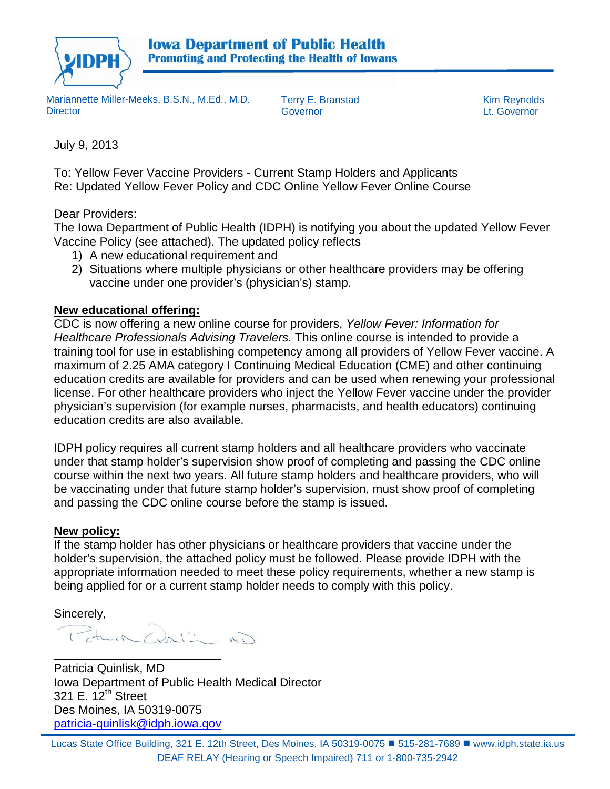

Mariannette Miller-Meeks, B.S.N., M.Ed., M.D. **Director** 

Terry E. Branstad Kim Reynolds Governor Lt. Governor

July 9, 2013

To: Yellow Fever Vaccine Providers - Current Stamp Holders and Applicants Re: Updated Yellow Fever Policy and CDC Online Yellow Fever Online Course

Dear Providers:

The Iowa Department of Public Health (IDPH) is notifying you about the updated Yellow Fever Vaccine Policy (see attached). The updated policy reflects

- 1) A new educational requirement and
- 2) Situations where multiple physicians or other healthcare providers may be offering vaccine under one provider's (physician's) stamp.

### **New educational offering:**

CDC is now offering a new online course for providers, *Yellow Fever: Information for Healthcare Professionals Advising Travelers.* This online course is intended to provide a training tool for use in establishing competency among all providers of Yellow Fever vaccine. A maximum of 2.25 AMA category I Continuing Medical Education (CME) and other continuing education credits are available for providers and can be used when renewing your professional license. For other healthcare providers who inject the Yellow Fever vaccine under the provider physician's supervision (for example nurses, pharmacists, and health educators) continuing education credits are also available.

IDPH policy requires all current stamp holders and all healthcare providers who vaccinate under that stamp holder's supervision show proof of completing and passing the CDC online course within the next two years. All future stamp holders and healthcare providers, who will be vaccinating under that future stamp holder's supervision, must show proof of completing and passing the CDC online course before the stamp is issued.

### **New policy:**

If the stamp holder has other physicians or healthcare providers that vaccine under the holder's supervision, the attached policy must be followed. Please provide IDPH with the appropriate information needed to meet these policy requirements, whether a new stamp is being applied for or a current stamp holder needs to comply with this policy.

Sincerely,

Patrick Contin mi

 $\overline{a}$ Patricia Quinlisk, MD Iowa Department of Public Health Medical Director 321 E. 12<sup>th</sup> Street Des Moines, IA 50319-0075 [patricia-quinlisk@idph.iowa.gov](mailto:patricia-quinlisk@idph.iowa.gov)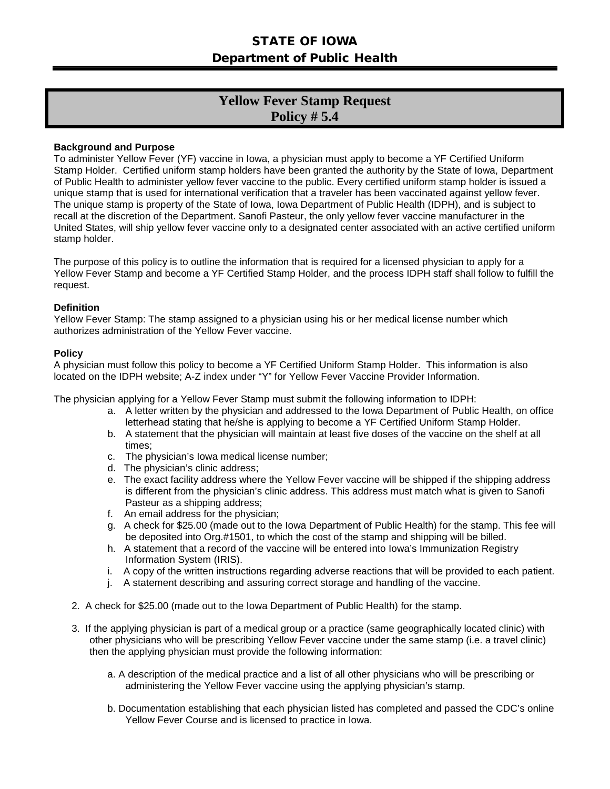## STATE OF IOWA Department of Public Health

# **Yellow Fever Stamp Request Policy # 5.4**

#### **Background and Purpose**

To administer Yellow Fever (YF) vaccine in Iowa, a physician must apply to become a YF Certified Uniform Stamp Holder. Certified uniform stamp holders have been granted the authority by the State of Iowa, Department of Public Health to administer yellow fever vaccine to the public. Every certified uniform stamp holder is issued a unique stamp that is used for international verification that a traveler has been vaccinated against yellow fever. The unique stamp is property of the State of Iowa, Iowa Department of Public Health (IDPH), and is subject to recall at the discretion of the Department. Sanofi Pasteur, the only yellow fever vaccine manufacturer in the United States, will ship yellow fever vaccine only to a designated center associated with an active certified uniform stamp holder.

The purpose of this policy is to outline the information that is required for a licensed physician to apply for a Yellow Fever Stamp and become a YF Certified Stamp Holder, and the process IDPH staff shall follow to fulfill the request.

#### **Definition**

Yellow Fever Stamp: The stamp assigned to a physician using his or her medical license number which authorizes administration of the Yellow Fever vaccine.

#### **Policy**

A physician must follow this policy to become a YF Certified Uniform Stamp Holder. This information is also located on the IDPH website; A-Z index under "Y" for Yellow Fever Vaccine Provider Information.

The physician applying for a Yellow Fever Stamp must submit the following information to IDPH:

- a. A letter written by the physician and addressed to the Iowa Department of Public Health, on office letterhead stating that he/she is applying to become a YF Certified Uniform Stamp Holder.
- b. A statement that the physician will maintain at least five doses of the vaccine on the shelf at all times;
- c. The physician's Iowa medical license number;
- d. The physician's clinic address;
- e. The exact facility address where the Yellow Fever vaccine will be shipped if the shipping address is different from the physician's clinic address. This address must match what is given to Sanofi Pasteur as a shipping address;
- f. An email address for the physician;
- g. A check for \$25.00 (made out to the Iowa Department of Public Health) for the stamp. This fee will be deposited into Org.#1501, to which the cost of the stamp and shipping will be billed.
- h. A statement that a record of the vaccine will be entered into Iowa's Immunization Registry Information System (IRIS).
- i. A copy of the written instructions regarding adverse reactions that will be provided to each patient.
- j. A statement describing and assuring correct storage and handling of the vaccine.
- 2. A check for \$25.00 (made out to the Iowa Department of Public Health) for the stamp.
- 3. If the applying physician is part of a medical group or a practice (same geographically located clinic) with other physicians who will be prescribing Yellow Fever vaccine under the same stamp (i.e. a travel clinic) then the applying physician must provide the following information:
	- a. A description of the medical practice and a list of all other physicians who will be prescribing or administering the Yellow Fever vaccine using the applying physician's stamp.
	- b. Documentation establishing that each physician listed has completed and passed the CDC's online Yellow Fever Course and is licensed to practice in Iowa.